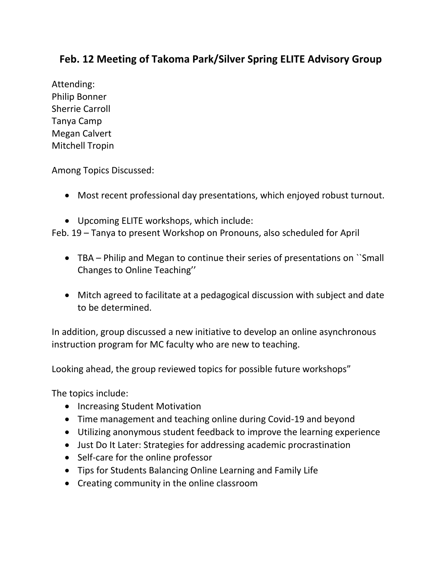## **Feb. 12 Meeting of Takoma Park/Silver Spring ELITE Advisory Group**

Attending: Philip Bonner Sherrie Carroll Tanya Camp Megan Calvert Mitchell Tropin

Among Topics Discussed:

- Most recent professional day presentations, which enjoyed robust turnout.
- Upcoming ELITE workshops, which include:

Feb. 19 – Tanya to present Workshop on Pronouns, also scheduled for April

- TBA Philip and Megan to continue their series of presentations on ``Small Changes to Online Teaching''
- Mitch agreed to facilitate at a pedagogical discussion with subject and date to be determined.

In addition, group discussed a new initiative to develop an online asynchronous instruction program for MC faculty who are new to teaching.

Looking ahead, the group reviewed topics for possible future workshops"

The topics include:

- Increasing Student Motivation
- Time management and teaching online during Covid-19 and beyond
- Utilizing anonymous student feedback to improve the learning experience
- Just Do It Later: Strategies for addressing academic procrastination
- Self-care for the online professor
- Tips for Students Balancing Online Learning and Family Life
- Creating community in the online classroom